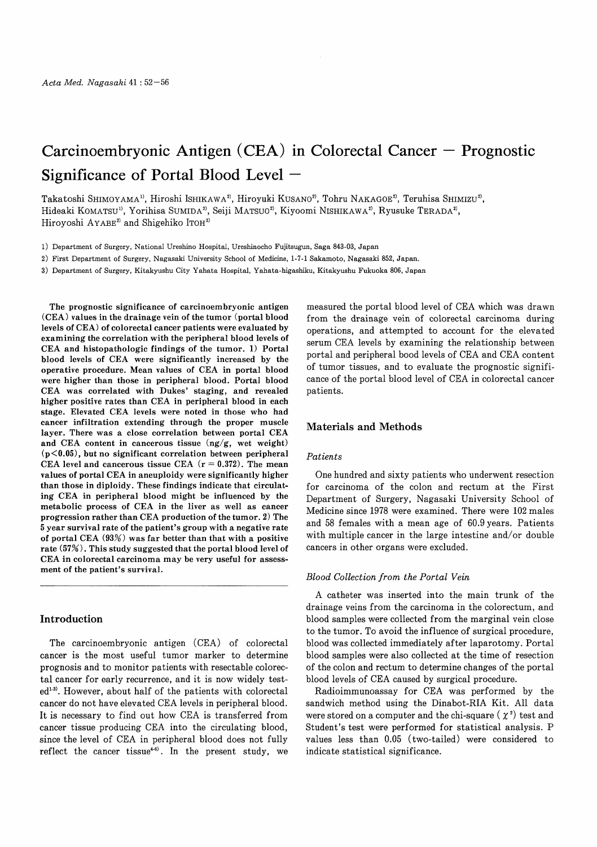# $Carcino embryonic Antigen (CEA) in Colorectal Cancer – Propnosti$ Significance of Portal Blood Level  $-$

Takatoshi SHIMOYAMA<sup>1)</sup>, Hiroshi ISHIKAWA<sup>2)</sup>, Hiroyuki KUSANO<sup>2</sup>), Tohru NAKAGOE<sup>2</sup>), Teruhisa SHIMIZU<sup>2</sup>), Hideaki KOMATSU<sup>1)</sup>, Yorihisa SUMIDA<sup>2</sup>, Seiji MATSUO<sup>2</sup>, Kiyoomi NISHIKAWA<sup>2</sup>, Ryusuke TERADA<sup>2</sup>, Hiroyoshi AYABE<sup>2)</sup> and Shigehiko ITOH<sup>3)</sup>

1) Department of Surgery, National Ureshino Hospital, Ureshinocho Fujitsugun, Saga 843-03, Japan

2) First Department of Surgery, Nagasaki University School of Medicine, 1-7-1 Sakamoto, Nagasaki 852, Japan.

3) Department of Surgery, Kitakyushu City Yahata Hospital, Yahata-higashiku, Kitakyushu Fukuoka 806, Japan

The prognostic significance of carcinoembryonic antigen (CEA) values in the drainage vein of the tumor (portal blood levels of CEA) of colorectal cancer patients were evaluated by examining the correlation with the peripheral blood levels of CEA and histopathologic findings of the tumor. 1) Portal blood levels of CEA were significantly increased by the operative procedure. Mean values of CEA in portal blood were higher than those in peripheral blood. Portal blood CEA was correlated with Dukes' staging, and revealed higher positive rates than CEA in peripheral blood in each stage. Elevated CEA levels were noted in those who had cancer infiltration extending through the proper muscle layer. There was a close correlation between portal CEA and CEA content in cancerous tissue (ng/g, wet weight)  $(p<0.05)$ , but no significant correlation between peripheral CEA level and cancerous tissue CEA  $(r = 0.372)$ . The mean values of portal CEA in aneuploidy were significantly higher than those in diploidy. These findings indicate that circulating CEA in peripheral blood might be influenced by the metabolic process of CEA in the liver as well as cancer progression rather than CEA production of the tumor. 2) The 5 year survival rate of the patient's group with a negative rate of portal CEA (93%) was far better than that with a positive rate (57%). This study suggested that the portal blood level of CEA in colorectal carcinoma may be very useful for assessment of the patient's survival.

# Introduction

The carcinoembryonic antigen (CEA) of colorectal cancer is the most useful tumor marker to determine prognosis and to monitor patients with resectable colorectal cancer for early recurrence, and it is now widely tested<sup>1-3)</sup>. However, about half of the patients with colorectal cancer do not have elevated CEA levels in peripheral blood. It is necessary to find out how CEA is transferred from cancer tissue producing CEA into the circulating blood, since the level of CEA in peripheral blood does not fully reflect the cancer tissue<sup>46</sup>. In the present study, we measured the portal blood level of CEA which was drawn from the drainage vein of colorectal carcinoma during operations, and attempted to account for the elevated serum CEA levels by examining the relationship between portal and peripheral bood levels of CEA and CEA content of tumor tissues, and to evaluate the prognostic significance of the portal blood level of CEA in colorectal cancer patients.

## Materials and Methods

## Patients

One hundred and sixty patients who underwent resection for carcinoma of the colon and rectum at the First Department of Surgery, Nagasaki University School of Medicine since 1978 were examined. There were 102 males and 58 females with a mean age of 60.9 years. Patients with multiple cancer in the large intestine and/or double cancers in other organs were excluded.

## Blood Collection from the Portal Vein

A catheter was inserted into the main trunk of the drainage veins from the carcinoma in the colorectum, and blood samples were collected from the marginal vein close to the tumor. To avoid the influence of surgical procedure, blood was collected immediately after laparotomy. Portal blood samples were also collected at the time of resection of the colon and rectum to determine changes of the portal blood levels of CEA caused by surgical procedure.

Radioimmunoassay for CEA was performed by the sandwich method using the Dinabot-RIA Kit. All data were stored on a computer and the chi-square  $(\chi^2)$  test and Student's test were performed for statistical analysis. P values less than 0.05 (two-tailed) were considered to indicate statistical significance.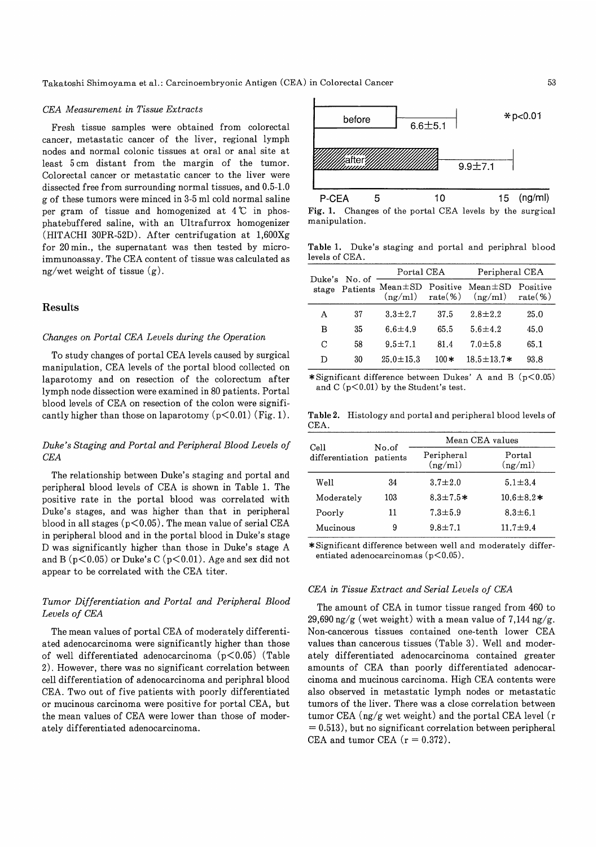#### CEA Measurement in Tissue Extracts

Fresh tissue samples were obtained from colorectal cancer, metastatic cancer of the liver, regional lymph nodes and normal colonic tissues at oral or anal site at least 5 cm distant from the margin of the tumor. Colorectal cancer or metastatic cancer to the liver were dissected free from surrounding normal tissues, and 0.5-1.0 g of these tumors were minced in 3-5 ml cold normal saline per gram of tissue and homogenized at  $4^{\circ}C$  in phosphatebuffered saline, with an Ultrafurrox homogenizer (HITACHI 30PR-52D). After centrifugation at 1,600Xg for 20 min., the supernatant was then tested by microimmunoassay. The CEA content of tissue was calculated as ng/wet weight of tissue  $(g)$ .

# Results

# Changes on Portal CEA Levels during the Operation

To study changes of portal CEA levels caused by surgical manipulation, CEA levels of the portal blood collected on laparotomy and on resection of the colorectum after lymph node dissection were examined in 80 patients. Portal blood levels of CEA on resection of the colon were significantly higher than those on laparotomy  $(p<0.01)$  (Fig. 1).

# Duke's Staging and Portal and Peripheral Blood Levels of CEA

The relationship between Duke's staging and portal and peripheral blood levels of CEA is shown in Table 1. The positive rate in the portal blood was correlated with Duke's stages, and was higher than that in peripheral blood in all stages  $(p<0.05)$ . The mean value of serial CEA in peripheral blood and in the portal blood in Duke's stage D was significantly higher than those in Duke's stage A and B ( $p<0.05$ ) or Duke's C ( $p<0.01$ ). Age and sex did not appear to be correlated with the CEA titer.

# Tumor Differentiation and Portal and Peripheral Blood Levels of CEA

The mean values of portal CEA of moderately differentiated adenocarcinoma were significantly higher than those of well differentiated adenocarcinoma  $(p<0.05)$  (Table 2). However, there was no significant correlation between cell differentiation of adenocarcinoma and periphral blood CEA. Two out of five patients with poorly differentiated or mucinous carcinoma were positive for portal CEA, but the mean values of CEA were lower than those of moderately differentiated adenocarcinoma.



Fig. 1. Changes of the portal CEA levels by the surgical manipulation.

Table 1. Duke's staging and portal and periphral blood levels of CEA.

| Duke's<br>stage | No. of<br>Patients | Portal CEA             |         | Peripheral CEA                               |                        |  |
|-----------------|--------------------|------------------------|---------|----------------------------------------------|------------------------|--|
|                 |                    | $Mean \pm SD$ Positive |         | $Mean \pm SD$<br>$(ng/ml)$ rate(%) $(ng/ml)$ | Positive<br>$rate(\%)$ |  |
| А               | 37                 | $3.3 \pm 2.7$          | 37.5    | $2.8 \pm 2.2$                                | 25.0                   |  |
| в               | 35                 | 6.6 $\pm$ 4.9          | 65.5    | $5.6 \pm 4.2$                                | 45.0                   |  |
| С               | 58                 | $9.5 \pm 7.1$          | 81.4    | $7.0 + 5.8$                                  | 65.1                   |  |
| D               | 30                 | $25.0 \pm 15.3$        | 100 $*$ | $18.5 \pm 13.7*$                             | 93.8                   |  |

\*Significant difference between Dukes' A and B  $(p<0.05)$ and C  $(p<0.01)$  by the Student's test.

Table 2. Histology and portal and peripheral blood levels of CEA.

| Cell                     | No.of | Mean CEA values       |                   |  |  |
|--------------------------|-------|-----------------------|-------------------|--|--|
| differentiation patients |       | Peripheral<br>(ng/ml) | Portal<br>(ng/ml) |  |  |
| Well                     | 34    | $3.7 \pm 2.0$         | $5.1 \pm 3.4$     |  |  |
| Moderately               | 103   | $8.3 \pm 7.5*$        | $10.6 \pm 8.2*$   |  |  |
| Poorly                   | 11    | $7.3 \pm 5.9$         | $8.3 \pm 6.1$     |  |  |
| Mucinous                 | 9     | $9.8 \pm 7.1$         | $11.7 \pm 9.4$    |  |  |

\*Significant difference between well and moderately differentiated adenocarcinomas  $(p<0.05)$ .

### CEA in Tissue Extract and Serial Levels of CEA

The amount of CEA in tumor tissue ranged from 460 to 29,690 ng/g (wet weight) with a mean value of 7,144 ng/g. Non-cancerous tissues contained one-tenth lower CEA values than cancerous tissues (Table 3). Well and moderately differentiated adenocarcinoma contained greater amounts of CEA than poorly differentiated adenocarcinoma and mucinous carcinoma. High CEA contents were also observed in metastatic lymph nodes or metastatic tumors of the liver. There was a close correlation between tumor CEA (ng/g wet weight) and the portal CEA level (r  $= 0.513$ , but no significant correlation between peripheral CEA and tumor CEA  $(r = 0.372)$ .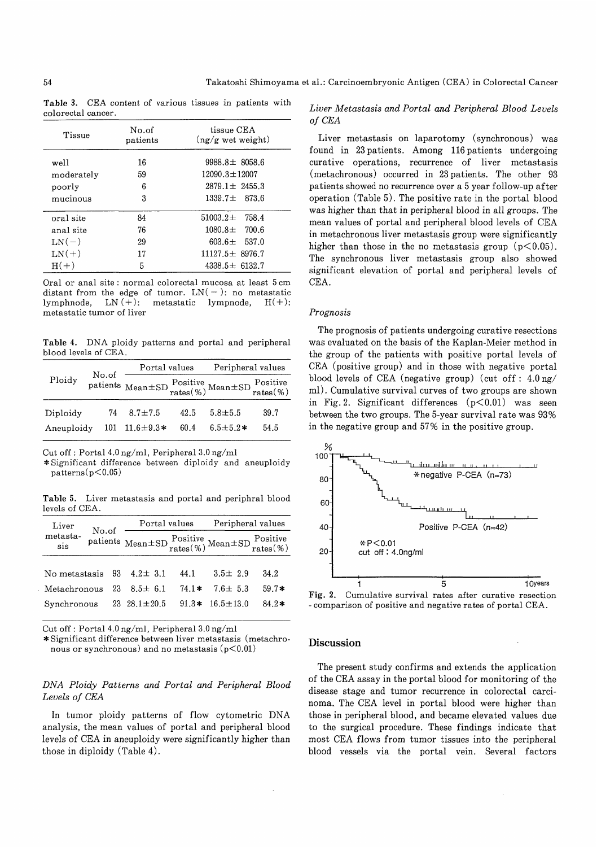Table 3. CEA content of various tissues in patients with colorectal cancer.

| Tissue     | No.of<br>patients | tissue CEA<br>$(ng/g \text{ wet weight})$ |  |  |
|------------|-------------------|-------------------------------------------|--|--|
| well       | 16                | $9988.8 \pm 8058.6$                       |  |  |
| moderately | 59                | $12090.3 \pm 12007$                       |  |  |
| poorly     | 6                 | $2879.1 \pm 2455.3$                       |  |  |
| mucinous   | 3                 | $1339.7 + 873.6$                          |  |  |
| oral site  | 84                | $51003.2 \pm 758.4$                       |  |  |
| anal site  | 76                | $1080.8 \pm 700.6$                        |  |  |
| $LN(-)$    | 29                | $603.6 \pm 537.0$                         |  |  |
| $LN(+)$    | 17                | $11127.5 \pm 8976.7$                      |  |  |
| $H(+)$     | 5                 | $4338.5 \pm 6132.7$                       |  |  |

Oral or anal site : normal colorectal mucosa at least 5 cm distant from the edge of tumor.  $LN(-)$ : no metastatic lymphnode, LN $(+)$ : metastatic lympnode, H $(+)$ : metastatic tumor of liver

Table 4. DNA ploidy patterns and portal and peripheral blood levels of CEA.

|            | No.of | Portal values                                                                                                              |      | Peripheral values |      |
|------------|-------|----------------------------------------------------------------------------------------------------------------------------|------|-------------------|------|
| Ploidy     |       | patients Mean $\pm$ SD $\frac{\text{Positive}}{\text{rates}}(\%)$ Mean $\pm$ SD $\frac{\text{Positive}}{\text{rates}}(\%)$ |      |                   |      |
| Diploidy   |       | $74 \quad 8.7 \pm 7.5$                                                                                                     | 42.5 | $5.8 + 5.5$       | 39.7 |
| Aneuploidy |       | 101 $11.6 \pm 9.3*$                                                                                                        | 60.4 | $6.5 \pm 5.2*$    | 54.5 |

Cut off : Portal 4.0 ng/ml, Peripheral 3.0 ng/ml

\*Significant difference between diploidy and aneuploidy  $patterns (p<0.05)$ 

Table 5. Liver metastasis and portal and periphral blood levels of CEA.

| Liver           | No.of |    | Portal values                                                                                                              |         | Peripheral values |         |
|-----------------|-------|----|----------------------------------------------------------------------------------------------------------------------------|---------|-------------------|---------|
| metasta-<br>sis |       |    | patients Mean $\pm$ SD $\frac{\text{Positive}}{\text{rates}}(\%)$ Mean $\pm$ SD $\frac{\text{Positive}}{\text{rates}}(\%)$ |         |                   |         |
|                 |       |    |                                                                                                                            |         |                   |         |
| No metastasis   |       | 93 | $4.2 \pm 3.1$                                                                                                              | 44.1    | $3.5 \pm 2.9$     | 34.2    |
| Metachronous    |       | 23 | $8.5 \pm 6.1$                                                                                                              | $74.1*$ | $7.6 \pm 5.3$     | $59.7*$ |
| Synchronous     |       |    | 23 $28.1 \pm 20.5$                                                                                                         | $91.3*$ | $16.5 \pm 13.0$   | $84.2*$ |

Cut off : Portal 4.0 ng/ml, Peripheral 3.0 ng/ml

\*Significant difference between liver metastasis (metachronous or synchronous) and no metastasis  $(p<0.01)$ 

# DNA Ploidy Patterns and Portal and Peripheral Blood Levels of CEA

In tumor ploidy patterns of flow cytometric DNA analysis, the mean values of portal and peripheral blood levels of CEA in aneuploidy were significantly higher than those in diploidy (Table 4).

# Liver Metastasis and Portal and Peripheral Blood Levels of CEA

Liver metastasis on laparotomy (synchronous) was found in 23 patients. Among 116 patients undergoing curative operations, recurrence of liver metastasis (metachronous) occurred in 23 patients. The other 93 patients showed no recurrence over a 5 year follow-up after operation (Table 5). The positive rate in the portal blood was higher than that in peripheral blood in all groups. The mean values of portal and peripheral blood levels of CEA in metachronous liver metastasis group were significantly higher than those in the no metastasis group  $(p<0.05)$ . The synchronous liver metastasis group also showed significant elevation of portal and peripheral levels of CEA.

#### Prognosis

The prognosis of patients undergoing curative resections was evaluated on the basis of the Kaplan-Meier method in the group of the patients with positive portal levels of CEA (positive group) and in those with negative portal blood levels of CEA (negative group) (cut off : 4.0 ng/ ml). Cumulative survival curves of two groups are shown in Fig. 2. Significant differences  $(p<0.01)$  was seen between the two groups. The 5-year survival rate was 93% in the negative group and 57% in the positive group.



Fig. 2. Cumulative survival rates after curative resection - comparison of positive and negative rates of portal CEA .

## Discussion

The present study confirms and extends the application of the CEA assay in the portal blood for monitoring of the disease stage and tumor recurrence in colorectal carcinoma.. The CEA level in portal blood were higher than those in peripheral blood, and became elevated values due to the surgical procedure. These findings indicate that most CEA flows from tumor tissues into the peripheral blood vessels via the portal vein. Several factors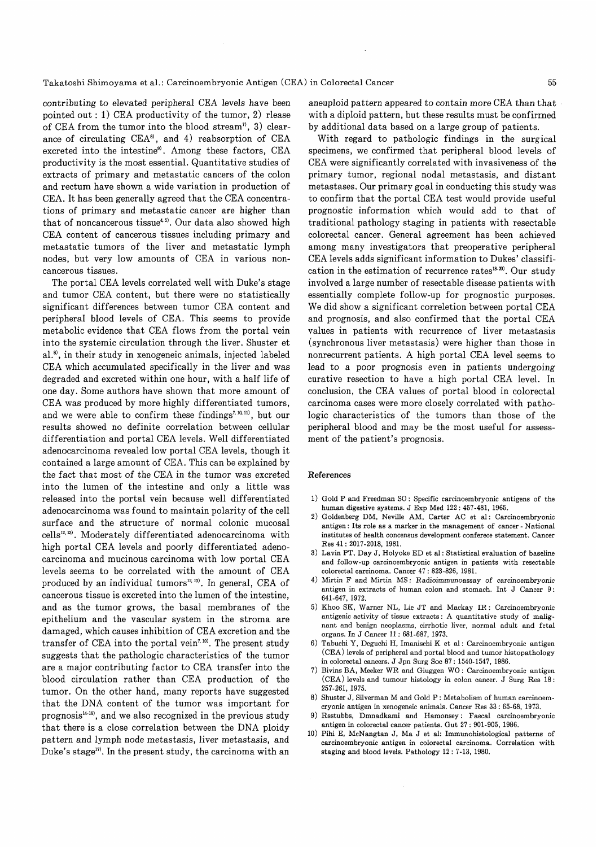contributing to elevated peripheral CEA levels have been pointed out : 1) CEA productivity of the tumor, 2) rlease of CEA from the tumor into the blood stream<sup> $\eta$ </sup>, 3) clearance of circulating  $CEA^8$ , and 4) reabsorption of CEA excreted into the intestine'). Among these factors, CEA productivity is the most essential. Quantitative studies of extracts of primary and metastatic cancers of the colon and rectum have shown a wide variation in production of CEA. It has been generally agreed that the CEA concentrations of primary and metastatic cancer are higher than that of noncancerous tissue<sup>4,5)</sup>. Our data also showed high CEA content of cancerous tissues including primary and metastatic tumors of the liver and metastatic lymph nodes, but very low amounts of CEA in various noncancerous tissues.

The portal CEA levels correlated well with Duke's stage and tumor CEA content, but there were no statistically significant differences between tumor CEA content and peripheral blood levels of CEA. This seems to provide metabolic evidence that CEA flows from the portal vein into the systemic circulation through the liver. Shuster et al.<sup>8</sup>, in their study in xenogeneic animals, injected labeled CEA which accumulated specifically in the liver and was degraded and excreted within one hour, with a half life of one day. Some authors have shown that more amount of CEA was produced by more highly differentiated tumors, and we were able to confirm these findings<sup> $7,10,11$ </sup>, but our results showed no definite correlation between cellular differentiation and portal CEA levels. Well differentiated adenocarcinoma revealed low portal CEA levels, though it contained a large amount of CEA. This can be explained by the fact that most of the CEA in the tumor was excreted into the lumen of the intestine and only a little was released into the portal vein because well differentiated adenocarcinoma was found to maintain polarity of the cell surface and the structure of normal colonic mucosal cells<sup>12, 13)</sup>. Moderately differentiated adenocarcinoma with high portal CEA levels and poorly differentiated adenocarcinoma and mucinous carcinoma with low portal CEA levels seems to be correlated with the amount of CEA produced by an individual tumors<sup>12, 13)</sup>. In general, CEA of cancerous tissue is excreted into the lumen of the intestine, and as the tumor grows, the basal membranes of the epithelium and the vascular system in the stroma are damaged, which causes inhibition of CEA excretion and the transfer of CEA into the portal vein<sup> $7, 10$ </sup>. The present study suggests that the pathologic characteristics of the tumor are a major contributing factor to CEA transfer into the blood circulation rather than CEA production of the tumor. On the other hand, many reports have suggested that the DNA content of the tumor was important for prognosis $44.16$ , and we also recognized in the previous study that there is a close correlation between the DNA ploidy pattern and lymph node metastasis, liver metastasis, and Duke's stage"). In the present study, the carcinoma with an

aneuploid pattern appeared to contain more CEA than that with a diploid pattern, but these results must be confirmed by additional data based on a large group of patients.

With regard to pathologic findings in the surgical specimens, we confirmed that peripheral blood levels of CEA were significantly correlated with invasiveness of the primary tumor, regional nodal metastasis, and distant metastases. Our primary goal in conducting this study was to confirm that the portal CEA test would provide useful prognostic information which would add to that of traditional pathology staging in patients with resectable colorectal cancer. General agreement has been achieved among many investigators that preoperative peripheral CEA levels adds significant information to Dukes' classification in the estimation of recurrence rates<sup>18-20</sup>. Our study involved a large number of resectable disease patients with essentially complete follow-up for prognostic purposes. We did show a significant correletion between portal CEA and prognosis, and also confirmed that the portal CEA values in patients with recurrence of liver metastasis (synchronous liver metastasis) were higher than those in nonrecurrent patients. A high portal CEA level seems to lead to a poor prognosis even in patients undergoing curative resection to have a high portal CEA level. In conclusion, the CEA values of portal blood in colorectal carcinoma cases were more closely correlated with pathologic characteristics of the tumors than those of the peripheral blood and may be the most useful for assessment of the patient's prognosis.

#### References

- 1) Gold P and Freedman SO : Specific carcinoembryonic antigens of the human digestive systems. J Exp Med 122: 457-481, 1965.
- 2) Goldenberg DM, Neville AM, Carter AC et al: Carcinoembryonic antigen : Its role as a marker in the management of cancer - National institutes of health concensus development conferece statement. Cancer Res 41: 2017-2018, 1981.
- 3) Lavin PT, Day J, Holyoke ED et al : Statistical evaluation of baseline and follow-up carcinoembryonic antigen in patients with resectable colorectal carcinoma. Cancer 47: 823-826, 1981.
- 4) Mirtin F and Mirtin MS : Radioimmunoassay of carcinoembryonic antigen in extracts of human colon and stomach. Int J Cancer 9: 641-647, 1972.
- 5) Khoo SK, Warner NL, Lie JT and Mackay IR : Carcinoembryonic antigenic activity of tissue extracts : A quantitative study of malignant and benign neoplasms, cirrhotic liver, normal adult and fetal organs. In J Cancer 11: 681-687, 1973.
- 6) Tabuchi Y, Deguchi H, Imanischi K et al : Carcinoembryonic antigen (CEA) levels of peripheral and portal blood and tumor histopathology in colorectal cancers. J Jpn Surg Soc 87: 1540-1547, 1986.
- 7) Bivins BA, Meeker WR and Giuggen WO : Carcinoembryonic antigen (CEA) levels and tumour histology in colon cancer. J Surg Res 18: 257-261, 1975.
- 8) Shuster J, Silverman M and Gold P : Metabolism of human carcinoemcryonic antigen in xenogeneic animals. Cancer Res 33: 65-68, 1973.
- 9) Rsstubbs, Dmnadkami and Hamonsey : Faecal carcinoembryonic antigen in colorectal cancer patients. Gut 27: 901-905, 1986.
- 10) Pihi E, McNangtan J, Ma J et al: Immunohistological patterns of carcinoembryonic antigen in colorectal carcinoma. Correlation with staging and blood levels. Pathology 12: 7-13, 1980.